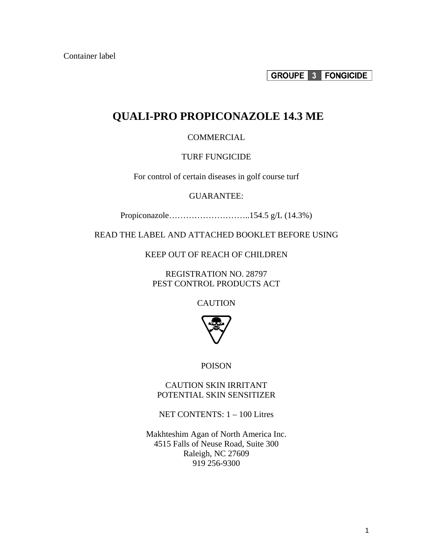Container label

**GROUPE 3 FONGICIDE** 

## **QUALI-PRO PROPICONAZOLE 14.3 ME**

#### **COMMERCIAL**

#### TURF FUNGICIDE

For control of certain diseases in golf course turf

#### GUARANTEE:

Propiconazole………………………..154.5 g/L (14.3%)

READ THE LABEL AND ATTACHED BOOKLET BEFORE USING

KEEP OUT OF REACH OF CHILDREN

REGISTRATION NO. 28797 PEST CONTROL PRODUCTS ACT

**CAUTION** 



POISON

CAUTION SKIN IRRITANT POTENTIAL SKIN SENSITIZER

NET CONTENTS: 1 – 100 Litres

Makhteshim Agan of North America Inc. 4515 Falls of Neuse Road, Suite 300 Raleigh, NC 27609 919 256-9300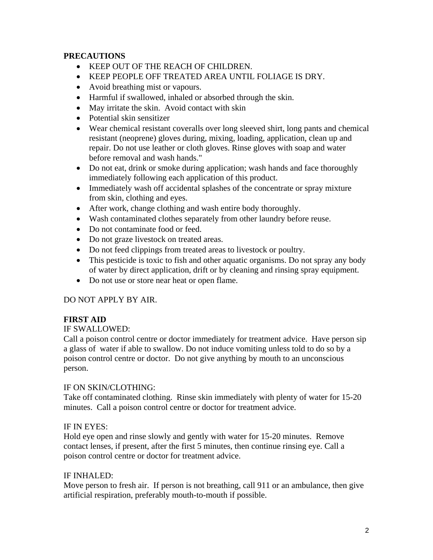### **PRECAUTIONS**

- KEEP OUT OF THE REACH OF CHILDREN.
- KEEP PEOPLE OFF TREATED AREA UNTIL FOLIAGE IS DRY.
- Avoid breathing mist or vapours.
- Harmful if swallowed, inhaled or absorbed through the skin.
- May irritate the skin. Avoid contact with skin
- Potential skin sensitizer
- Wear chemical resistant coveralls over long sleeved shirt, long pants and chemical resistant (neoprene) gloves during, mixing, loading, application, clean up and repair. Do not use leather or cloth gloves. Rinse gloves with soap and water before removal and wash hands."
- Do not eat, drink or smoke during application; wash hands and face thoroughly immediately following each application of this product.
- Immediately wash off accidental splashes of the concentrate or spray mixture from skin, clothing and eyes.
- After work, change clothing and wash entire body thoroughly.
- Wash contaminated clothes separately from other laundry before reuse.
- Do not contaminate food or feed.
- Do not graze livestock on treated areas.
- Do not feed clippings from treated areas to livestock or poultry.
- This pesticide is toxic to fish and other aquatic organisms. Do not spray any body of water by direct application, drift or by cleaning and rinsing spray equipment.
- Do not use or store near heat or open flame.

## DO NOT APPLY BY AIR.

#### **FIRST AID**

#### IF SWALLOWED:

Call a poison control centre or doctor immediately for treatment advice. Have person sip a glass of water if able to swallow. Do not induce vomiting unless told to do so by a poison control centre or doctor. Do not give anything by mouth to an unconscious person.

#### IF ON SKIN/CLOTHING:

Take off contaminated clothing. Rinse skin immediately with plenty of water for 15-20 minutes. Call a poison control centre or doctor for treatment advice.

#### IF IN EYES:

Hold eye open and rinse slowly and gently with water for 15-20 minutes. Remove contact lenses, if present, after the first 5 minutes, then continue rinsing eye. Call a poison control centre or doctor for treatment advice.

#### IF INHALED:

Move person to fresh air. If person is not breathing, call 911 or an ambulance, then give artificial respiration, preferably mouth-to-mouth if possible.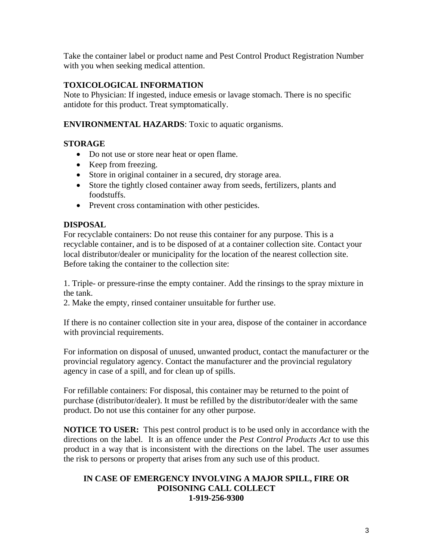Take the container label or product name and Pest Control Product Registration Number with you when seeking medical attention.

## **TOXICOLOGICAL INFORMATION**

Note to Physician: If ingested, induce emesis or lavage stomach. There is no specific antidote for this product. Treat symptomatically.

### **ENVIRONMENTAL HAZARDS**: Toxic to aquatic organisms.

## **STORAGE**

- Do not use or store near heat or open flame.
- Keep from freezing.
- Store in original container in a secured, dry storage area.
- Store the tightly closed container away from seeds, fertilizers, plants and foodstuffs.
- Prevent cross contamination with other pesticides.

## **DISPOSAL**

For recyclable containers: Do not reuse this container for any purpose. This is a recyclable container, and is to be disposed of at a container collection site. Contact your local distributor/dealer or municipality for the location of the nearest collection site. Before taking the container to the collection site:

1. Triple- or pressure-rinse the empty container. Add the rinsings to the spray mixture in the tank.

2. Make the empty, rinsed container unsuitable for further use.

If there is no container collection site in your area, dispose of the container in accordance with provincial requirements.

For information on disposal of unused, unwanted product, contact the manufacturer or the provincial regulatory agency. Contact the manufacturer and the provincial regulatory agency in case of a spill, and for clean up of spills.

For refillable containers: For disposal, this container may be returned to the point of purchase (distributor/dealer). It must be refilled by the distributor/dealer with the same product. Do not use this container for any other purpose.

**NOTICE TO USER:** This pest control product is to be used only in accordance with the directions on the label. It is an offence under the *Pest Control Products Act* to use this product in a way that is inconsistent with the directions on the label. The user assumes the risk to persons or property that arises from any such use of this product.

#### **IN CASE OF EMERGENCY INVOLVING A MAJOR SPILL, FIRE OR POISONING CALL COLLECT 1-919-256-9300**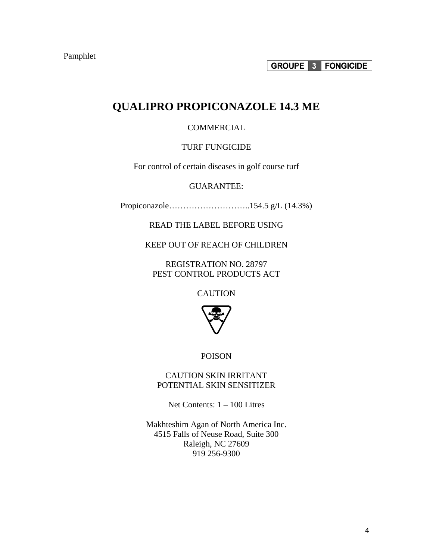# **QUALIPRO PROPICONAZOLE 14.3 ME**

#### COMMERCIAL

#### TURF FUNGICIDE

For control of certain diseases in golf course turf

GUARANTEE:

Propiconazole………………………..154.5 g/L (14.3%)

READ THE LABEL BEFORE USING

KEEP OUT OF REACH OF CHILDREN

REGISTRATION NO. 28797 PEST CONTROL PRODUCTS ACT

**CAUTION** 



POISON

CAUTION SKIN IRRITANT POTENTIAL SKIN SENSITIZER

Net Contents: 1 – 100 Litres

Makhteshim Agan of North America Inc. 4515 Falls of Neuse Road, Suite 300 Raleigh, NC 27609 919 256-9300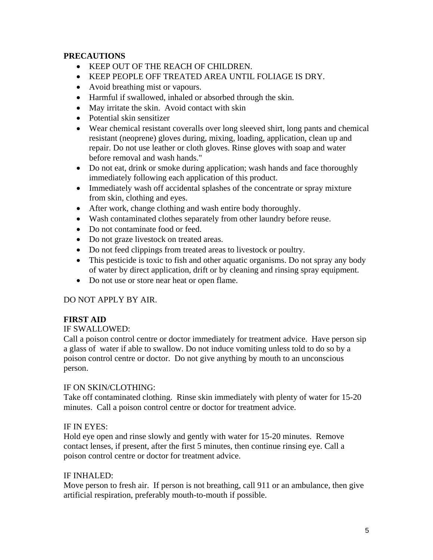### **PRECAUTIONS**

- KEEP OUT OF THE REACH OF CHILDREN.
- KEEP PEOPLE OFF TREATED AREA UNTIL FOLIAGE IS DRY.
- Avoid breathing mist or vapours.
- Harmful if swallowed, inhaled or absorbed through the skin.
- May irritate the skin. Avoid contact with skin
- Potential skin sensitizer
- Wear chemical resistant coveralls over long sleeved shirt, long pants and chemical resistant (neoprene) gloves during, mixing, loading, application, clean up and repair. Do not use leather or cloth gloves. Rinse gloves with soap and water before removal and wash hands."
- Do not eat, drink or smoke during application; wash hands and face thoroughly immediately following each application of this product.
- Immediately wash off accidental splashes of the concentrate or spray mixture from skin, clothing and eyes.
- After work, change clothing and wash entire body thoroughly.
- Wash contaminated clothes separately from other laundry before reuse.
- Do not contaminate food or feed.
- Do not graze livestock on treated areas.
- Do not feed clippings from treated areas to livestock or poultry.
- This pesticide is toxic to fish and other aquatic organisms. Do not spray any body of water by direct application, drift or by cleaning and rinsing spray equipment.
- Do not use or store near heat or open flame.

## DO NOT APPLY BY AIR.

#### **FIRST AID**

#### IF SWALLOWED:

Call a poison control centre or doctor immediately for treatment advice. Have person sip a glass of water if able to swallow. Do not induce vomiting unless told to do so by a poison control centre or doctor. Do not give anything by mouth to an unconscious person.

#### IF ON SKIN/CLOTHING:

Take off contaminated clothing. Rinse skin immediately with plenty of water for 15-20 minutes. Call a poison control centre or doctor for treatment advice.

#### IF IN EYES:

Hold eye open and rinse slowly and gently with water for 15-20 minutes. Remove contact lenses, if present, after the first 5 minutes, then continue rinsing eye. Call a poison control centre or doctor for treatment advice.

#### IF INHALED:

Move person to fresh air. If person is not breathing, call 911 or an ambulance, then give artificial respiration, preferably mouth-to-mouth if possible.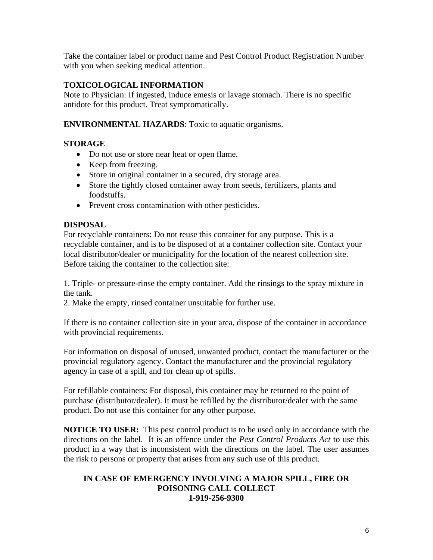Take the container label or product name and Pest Control Product Registration Number with you when seeking medical attention.

## **TOXICOLOGICAL INFORMATION**

Note to Physician: If ingested, induce emesis or lavage stomach. There is no specific antidote for this product. Treat symptomatically.

### **ENVIRONMENTAL HAZARDS**: Toxic to aquatic organisms.

## **STORAGE**

- Do not use or store near heat or open flame.
- Keep from freezing.
- Store in original container in a secured, dry storage area.
- Store the tightly closed container away from seeds, fertilizers, plants and foodstuffs.
- Prevent cross contamination with other pesticides.

## **DISPOSAL**

For recyclable containers: Do not reuse this container for any purpose. This is a recyclable container, and is to be disposed of at a container collection site. Contact your local distributor/dealer or municipality for the location of the nearest collection site. Before taking the container to the collection site:

1. Triple- or pressure-rinse the empty container. Add the rinsings to the spray mixture in the tank.

2. Make the empty, rinsed container unsuitable for further use.

If there is no container collection site in your area, dispose of the container in accordance with provincial requirements.

For information on disposal of unused, unwanted product, contact the manufacturer or the provincial regulatory agency. Contact the manufacturer and the provincial regulatory agency in case of a spill, and for clean up of spills.

For refillable containers: For disposal, this container may be returned to the point of purchase (distributor/dealer). It must be refilled by the distributor/dealer with the same product. Do not use this container for any other purpose.

**NOTICE TO USER:** This pest control product is to be used only in accordance with the directions on the label. It is an offence under the *Pest Control Products Act* to use this product in a way that is inconsistent with the directions on the label. The user assumes the risk to persons or property that arises from any such use of this product.

#### **IN CASE OF EMERGENCY INVOLVING A MAJOR SPILL, FIRE OR POISONING CALL COLLECT 1-919-256-9300**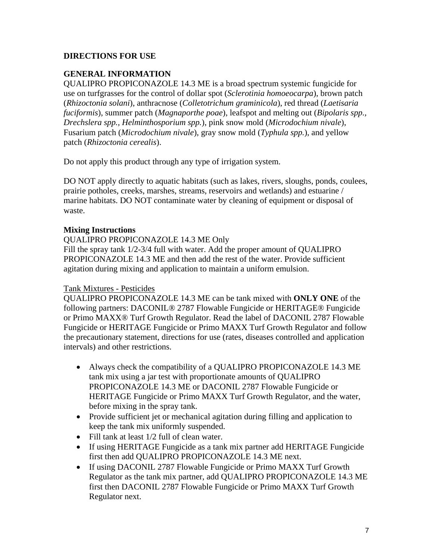## **DIRECTIONS FOR USE**

## **GENERAL INFORMATION**

QUALIPRO PROPICONAZOLE 14.3 ME is a broad spectrum systemic fungicide for use on turfgrasses for the control of dollar spot (*Sclerotinia homoeocarpa*), brown patch (*Rhizoctonia solani*), anthracnose (*Colletotrichum graminicola*), red thread (*Laetisaria fuciformis*), summer patch (*Magnaporthe poae*), leafspot and melting out (*Bipolaris spp., Drechslera spp., Helminthosporium spp.*), pink snow mold (*Microdochium nivale*), Fusarium patch (*Microdochium nivale*), gray snow mold (*Typhula spp.*), and yellow patch (*Rhizoctonia cerealis*).

Do not apply this product through any type of irrigation system.

DO NOT apply directly to aquatic habitats (such as lakes, rivers, sloughs, ponds, coulees, prairie potholes, creeks, marshes, streams, reservoirs and wetlands) and estuarine / marine habitats. DO NOT contaminate water by cleaning of equipment or disposal of waste.

#### **Mixing Instructions**

#### QUALIPRO PROPICONAZOLE 14.3 ME Only

Fill the spray tank 1/2-3/4 full with water. Add the proper amount of QUALIPRO PROPICONAZOLE 14.3 ME and then add the rest of the water. Provide sufficient agitation during mixing and application to maintain a uniform emulsion.

#### Tank Mixtures - Pesticides

QUALIPRO PROPICONAZOLE 14.3 ME can be tank mixed with **ONLY ONE** of the following partners: DACONIL® 2787 Flowable Fungicide or HERITAGE® Fungicide or Primo MAXX® Turf Growth Regulator. Read the label of DACONIL 2787 Flowable Fungicide or HERITAGE Fungicide or Primo MAXX Turf Growth Regulator and follow the precautionary statement, directions for use (rates, diseases controlled and application intervals) and other restrictions.

- Always check the compatibility of a QUALIPRO PROPICONAZOLE 14.3 ME tank mix using a jar test with proportionate amounts of QUALIPRO PROPICONAZOLE 14.3 ME or DACONIL 2787 Flowable Fungicide or HERITAGE Fungicide or Primo MAXX Turf Growth Regulator, and the water, before mixing in the spray tank.
- Provide sufficient jet or mechanical agitation during filling and application to keep the tank mix uniformly suspended.
- Fill tank at least 1/2 full of clean water.
- If using HERITAGE Fungicide as a tank mix partner add HERITAGE Fungicide first then add QUALIPRO PROPICONAZOLE 14.3 ME next.
- If using DACONIL 2787 Flowable Fungicide or Primo MAXX Turf Growth Regulator as the tank mix partner, add QUALIPRO PROPICONAZOLE 14.3 ME first then DACONIL 2787 Flowable Fungicide or Primo MAXX Turf Growth Regulator next.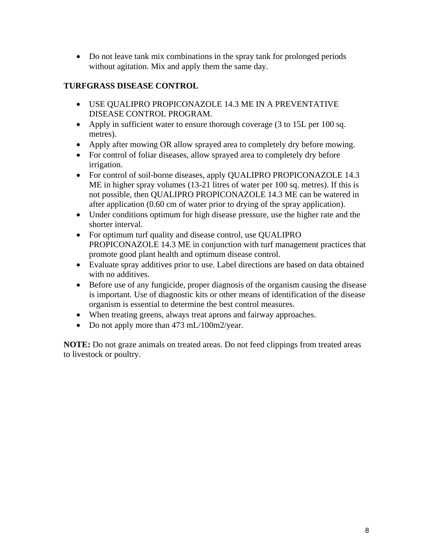• Do not leave tank mix combinations in the spray tank for prolonged periods without agitation. Mix and apply them the same day.

## **TURFGRASS DISEASE CONTROL**

- USE QUALIPRO PROPICONAZOLE 14.3 ME IN A PREVENTATIVE DISEASE CONTROL PROGRAM.
- Apply in sufficient water to ensure thorough coverage (3 to 15L per 100 sq. metres).
- Apply after mowing OR allow sprayed area to completely dry before mowing.
- For control of foliar diseases, allow sprayed area to completely dry before irrigation.
- For control of soil-borne diseases, apply QUALIPRO PROPICONAZOLE 14.3 ME in higher spray volumes (13-21 litres of water per 100 sq. metres). If this is not possible, then QUALIPRO PROPICONAZOLE 14.3 ME can be watered in after application (0.60 cm of water prior to drying of the spray application).
- Under conditions optimum for high disease pressure, use the higher rate and the shorter interval.
- For optimum turf quality and disease control, use QUALIPRO PROPICONAZOLE 14.3 ME in conjunction with turf management practices that promote good plant health and optimum disease control.
- Evaluate spray additives prior to use. Label directions are based on data obtained with no additives.
- Before use of any fungicide, proper diagnosis of the organism causing the disease is important. Use of diagnostic kits or other means of identification of the disease organism is essential to determine the best control measures.
- When treating greens, always treat aprons and fairway approaches.
- Do not apply more than 473 mL/100m2/year.

**NOTE:** Do not graze animals on treated areas. Do not feed clippings from treated areas to livestock or poultry.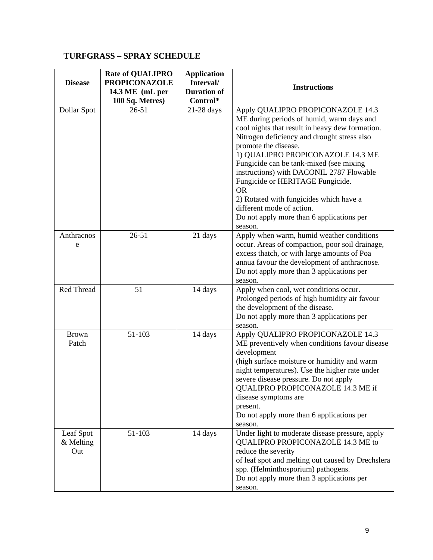## **TURFGRASS – SPRAY SCHEDULE**

| <b>Disease</b>                | <b>Rate of QUALIPRO</b><br><b>PROPICONAZOLE</b><br>14.3 ME (mL per<br>100 Sq. Metres) | <b>Application</b><br>Interval/<br><b>Duration of</b><br>Control* | <b>Instructions</b>                                                                                                                                                                                                                                                                                                                                                                                                                                                                                                   |
|-------------------------------|---------------------------------------------------------------------------------------|-------------------------------------------------------------------|-----------------------------------------------------------------------------------------------------------------------------------------------------------------------------------------------------------------------------------------------------------------------------------------------------------------------------------------------------------------------------------------------------------------------------------------------------------------------------------------------------------------------|
| Dollar Spot                   | $26 - 51$                                                                             | 21-28 days                                                        | Apply QUALIPRO PROPICONAZOLE 14.3<br>ME during periods of humid, warm days and<br>cool nights that result in heavy dew formation.<br>Nitrogen deficiency and drought stress also<br>promote the disease.<br>1) QUALIPRO PROPICONAZOLE 14.3 ME<br>Fungicide can be tank-mixed (see mixing<br>instructions) with DACONIL 2787 Flowable<br>Fungicide or HERITAGE Fungicide.<br><b>OR</b><br>2) Rotated with fungicides which have a<br>different mode of action.<br>Do not apply more than 6 applications per<br>season. |
| Anthracnos<br>e               | $26 - 51$                                                                             | 21 days                                                           | Apply when warm, humid weather conditions<br>occur. Areas of compaction, poor soil drainage,<br>excess thatch, or with large amounts of Poa<br>annua favour the development of anthracnose.<br>Do not apply more than 3 applications per<br>season.                                                                                                                                                                                                                                                                   |
| Red Thread                    | 51                                                                                    | 14 days                                                           | Apply when cool, wet conditions occur.<br>Prolonged periods of high humidity air favour<br>the development of the disease.<br>Do not apply more than 3 applications per<br>season.                                                                                                                                                                                                                                                                                                                                    |
| <b>Brown</b><br>Patch         | 51-103                                                                                | 14 days                                                           | Apply QUALIPRO PROPICONAZOLE 14.3<br>ME preventively when conditions favour disease<br>development<br>(high surface moisture or humidity and warm<br>night temperatures). Use the higher rate under<br>severe disease pressure. Do not apply<br>QUALIPRO PROPICONAZOLE 14.3 ME if<br>disease symptoms are<br>present.<br>Do not apply more than 6 applications per<br>season.                                                                                                                                         |
| Leaf Spot<br>& Melting<br>Out | 51-103                                                                                | 14 days                                                           | Under light to moderate disease pressure, apply<br>QUALIPRO PROPICONAZOLE 14.3 ME to<br>reduce the severity<br>of leaf spot and melting out caused by Drechslera<br>spp. (Helminthosporium) pathogens.<br>Do not apply more than 3 applications per<br>season.                                                                                                                                                                                                                                                        |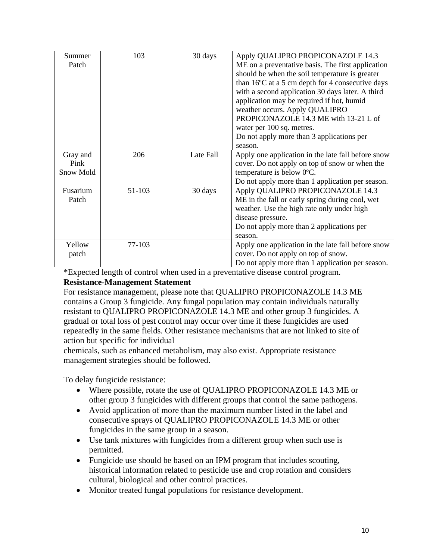| Summer    | 103    | 30 days   | Apply QUALIPRO PROPICONAZOLE 14.3                  |
|-----------|--------|-----------|----------------------------------------------------|
| Patch     |        |           | ME on a preventative basis. The first application  |
|           |        |           | should be when the soil temperature is greater     |
|           |        |           | than 16°C at a 5 cm depth for 4 consecutive days   |
|           |        |           | with a second application 30 days later. A third   |
|           |        |           | application may be required if hot, humid          |
|           |        |           | weather occurs. Apply QUALIPRO                     |
|           |        |           | PROPICONAZOLE 14.3 ME with 13-21 L of              |
|           |        |           | water per 100 sq. metres.                          |
|           |        |           | Do not apply more than 3 applications per          |
|           |        |           | season.                                            |
| Gray and  | 206    | Late Fall | Apply one application in the late fall before snow |
| Pink      |        |           | cover. Do not apply on top of snow or when the     |
| Snow Mold |        |           | temperature is below 0°C.                          |
|           |        |           | Do not apply more than 1 application per season.   |
| Fusarium  | 51-103 | 30 days   | Apply QUALIPRO PROPICONAZOLE 14.3                  |
| Patch     |        |           | ME in the fall or early spring during cool, wet    |
|           |        |           | weather. Use the high rate only under high         |
|           |        |           | disease pressure.                                  |
|           |        |           | Do not apply more than 2 applications per          |
|           |        |           | season.                                            |
| Yellow    | 77-103 |           | Apply one application in the late fall before snow |
| patch     |        |           | cover. Do not apply on top of snow.                |
|           |        |           | Do not apply more than 1 application per season.   |

\*Expected length of control when used in a preventative disease control program. **Resistance-Management Statement**

#### For resistance management, please note that QUALIPRO PROPICONAZOLE 14.3 ME contains a Group 3 fungicide. Any fungal population may contain individuals naturally resistant to QUALIPRO PROPICONAZOLE 14.3 ME and other group 3 fungicides. A gradual or total loss of pest control may occur over time if these fungicides are used repeatedly in the same fields. Other resistance mechanisms that are not linked to site of action but specific for individual

chemicals, such as enhanced metabolism, may also exist. Appropriate resistance management strategies should be followed.

To delay fungicide resistance:

- Where possible, rotate the use of QUALIPRO PROPICONAZOLE 14.3 ME or other group 3 fungicides with different groups that control the same pathogens.
- Avoid application of more than the maximum number listed in the label and consecutive sprays of QUALIPRO PROPICONAZOLE 14.3 ME or other fungicides in the same group in a season.
- Use tank mixtures with fungicides from a different group when such use is permitted.
- Fungicide use should be based on an IPM program that includes scouting, historical information related to pesticide use and crop rotation and considers cultural, biological and other control practices.
- Monitor treated fungal populations for resistance development.